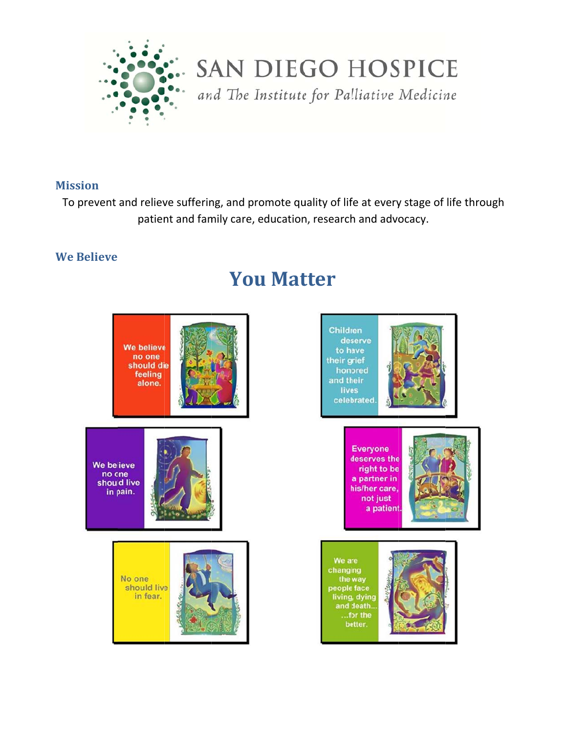

**SAN DIEGO HOSPICE** 

and The Institute for Palliative Medicine

#### **Mission**

To prevent and relieve suffering, and promote quality of life at every stage of life through patient and family care, education, research and advocacy.

#### **We Believe**



# **You Matter**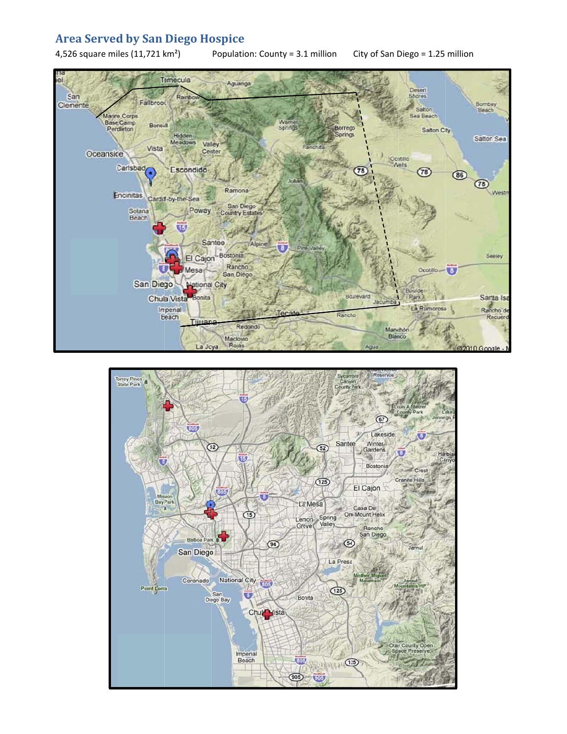#### **Are ea Served d by San Diego Ho spice**

4,52 26 square mi les (11,721 k m²)

Population: County = 3.1 million City of San Diego = 1.25 million



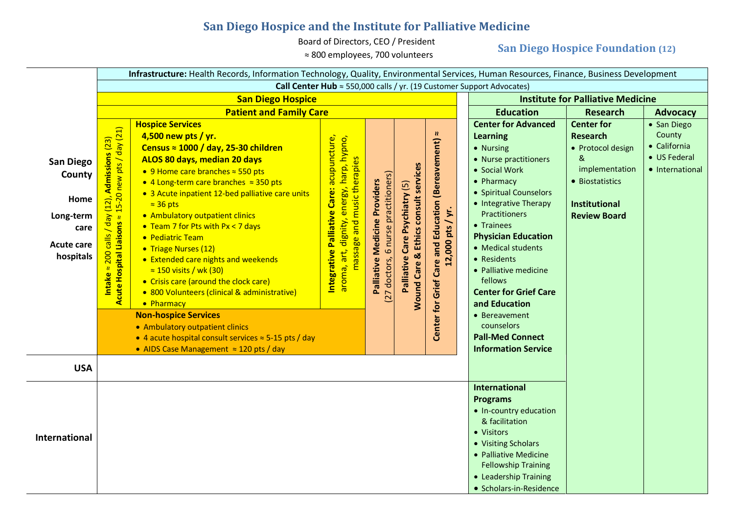### **San Diego Hospice and the Institute for Palliative Medicine**

Board of Directors, CEO / President

≈ 800 employees, 700 volunteers

### **San Diego Hospice Foundation (12)**

|                                                                                           | Infrastructure: Health Records, Information Technology, Quality, Environmental Services, Human Resources, Finance, Business Development                 |                                                                                                                                                                                                                                                                                                                                                                                                                                                                                                                                                                                                                                                                                                                                                                                            |                                                                                                                                    |                                                                      |                                                                                                              |                                                                                                                                                                                                                                     |                                                                                                                                                                                                                                                                                                                                                                                                                                                             |                                                                                                                                                    |                                                                          |
|-------------------------------------------------------------------------------------------|---------------------------------------------------------------------------------------------------------------------------------------------------------|--------------------------------------------------------------------------------------------------------------------------------------------------------------------------------------------------------------------------------------------------------------------------------------------------------------------------------------------------------------------------------------------------------------------------------------------------------------------------------------------------------------------------------------------------------------------------------------------------------------------------------------------------------------------------------------------------------------------------------------------------------------------------------------------|------------------------------------------------------------------------------------------------------------------------------------|----------------------------------------------------------------------|--------------------------------------------------------------------------------------------------------------|-------------------------------------------------------------------------------------------------------------------------------------------------------------------------------------------------------------------------------------|-------------------------------------------------------------------------------------------------------------------------------------------------------------------------------------------------------------------------------------------------------------------------------------------------------------------------------------------------------------------------------------------------------------------------------------------------------------|----------------------------------------------------------------------------------------------------------------------------------------------------|--------------------------------------------------------------------------|
|                                                                                           | Call Center Hub $\approx$ 550,000 calls / yr. (19 Customer Support Advocates)                                                                           |                                                                                                                                                                                                                                                                                                                                                                                                                                                                                                                                                                                                                                                                                                                                                                                            |                                                                                                                                    |                                                                      |                                                                                                              |                                                                                                                                                                                                                                     |                                                                                                                                                                                                                                                                                                                                                                                                                                                             |                                                                                                                                                    |                                                                          |
|                                                                                           | <b>San Diego Hospice</b>                                                                                                                                |                                                                                                                                                                                                                                                                                                                                                                                                                                                                                                                                                                                                                                                                                                                                                                                            |                                                                                                                                    |                                                                      |                                                                                                              | <b>Institute for Palliative Medicine</b>                                                                                                                                                                                            |                                                                                                                                                                                                                                                                                                                                                                                                                                                             |                                                                                                                                                    |                                                                          |
|                                                                                           | <b>Patient and Family Care</b>                                                                                                                          |                                                                                                                                                                                                                                                                                                                                                                                                                                                                                                                                                                                                                                                                                                                                                                                            |                                                                                                                                    |                                                                      |                                                                                                              | <b>Education</b>                                                                                                                                                                                                                    | <b>Research</b>                                                                                                                                                                                                                                                                                                                                                                                                                                             | <b>Advocacy</b>                                                                                                                                    |                                                                          |
| <b>San Diego</b><br>County<br>Home<br>Long-term<br>care<br><b>Acute care</b><br>hospitals | Acute Hospital Liaisons $\approx$ 15-20 new pts / day (21)<br><b>Admissions (23)</b><br>(12)<br>/day<br>$c$ alls<br>$\frac{1}{200}$<br>Intake $\approx$ | <b>Hospice Services</b><br>4,500 new pts / yr.<br>Census $\approx$ 1000 / day, 25-30 children<br>ALOS 80 days, median 20 days<br>● 9 Home care branches $\approx$ 550 pts<br>• 4 Long-term care branches $\approx$ 350 pts<br>• 3 Acute inpatient 12-bed palliative care units<br>$\approx$ 36 pts<br>• Ambulatory outpatient clinics<br>• Team 7 for Pts with Px < 7 days<br>• Pediatric Team<br>• Triage Nurses (12)<br>• Extended care nights and weekends<br>$\approx$ 150 visits / wk (30)<br>• Crisis care (around the clock care)<br>• 800 Volunteers (clinical & administrative)<br>• Pharmacy<br><b>Non-hospice Services</b><br>• Ambulatory outpatient clinics<br>• 4 acute hospital consult services $\approx$ 5-15 pts / day<br>• AIDS Case Management $\approx$ 120 pts / day | Palliative Care: acupuncture,<br>harp, hypno,<br>es<br>massage and music therapi<br>dignity, energy,<br>Integrative<br>aroma, art, | (27 doctors, 6 nurse practitioners)<br>Palliative Medicine Providers | <b>Wound Care &amp; Ethics consult services</b><br>$\widetilde{\mathbf{e}}$<br>Care Psychiatry<br>Palliative | $\boldsymbol{v}$<br>Center for Grief Care and Education (Bereavement)<br>12,000 pts / yr.                                                                                                                                           | <b>Center for Advanced</b><br><b>Learning</b><br>• Nursing<br>• Nurse practitioners<br>• Social Work<br>• Pharmacy<br>• Spiritual Counselors<br>• Integrative Therapy<br><b>Practitioners</b><br>• Trainees<br><b>Physician Education</b><br>• Medical students<br>• Residents<br>• Palliative medicine<br>fellows<br><b>Center for Grief Care</b><br>and Education<br>• Bereavement<br>counselors<br><b>Pall-Med Connect</b><br><b>Information Service</b> | <b>Center for</b><br><b>Research</b><br>• Protocol design<br>&<br>implementation<br>• Biostatistics<br><b>Institutional</b><br><b>Review Board</b> | • San Diego<br>County<br>• California<br>• US Federal<br>• International |
| <b>USA</b>                                                                                |                                                                                                                                                         |                                                                                                                                                                                                                                                                                                                                                                                                                                                                                                                                                                                                                                                                                                                                                                                            |                                                                                                                                    |                                                                      |                                                                                                              |                                                                                                                                                                                                                                     |                                                                                                                                                                                                                                                                                                                                                                                                                                                             |                                                                                                                                                    |                                                                          |
| International                                                                             |                                                                                                                                                         |                                                                                                                                                                                                                                                                                                                                                                                                                                                                                                                                                                                                                                                                                                                                                                                            |                                                                                                                                    |                                                                      |                                                                                                              | <b>International</b><br><b>Programs</b><br>• In-country education<br>& facilitation<br>• Visitors<br>• Visiting Scholars<br>• Palliative Medicine<br><b>Fellowship Training</b><br>• Leadership Training<br>• Scholars-in-Residence |                                                                                                                                                                                                                                                                                                                                                                                                                                                             |                                                                                                                                                    |                                                                          |